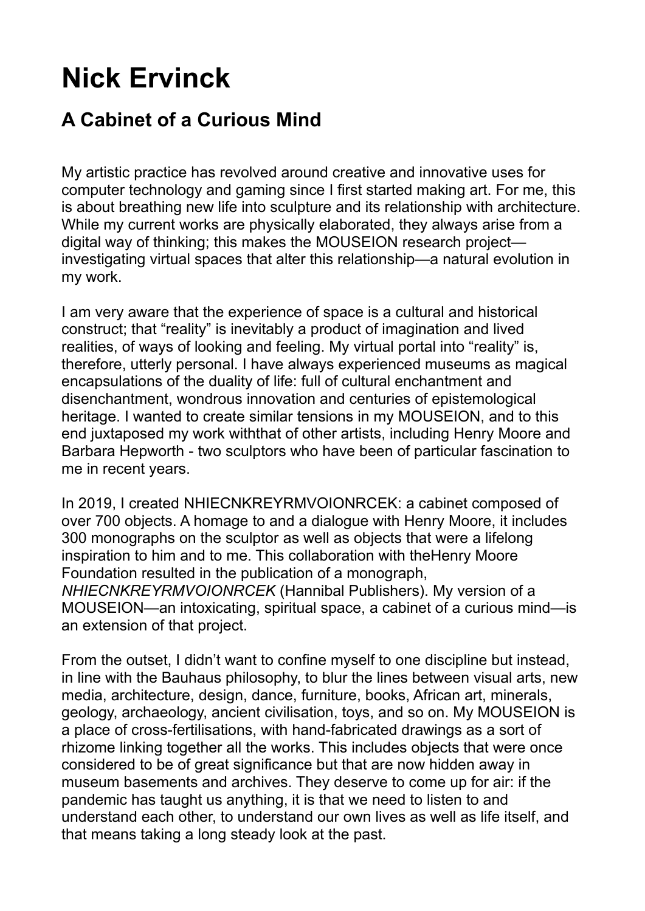## **Nick Ervinck**

## **A Cabinet of a Curious Mind**

My artistic practice has revolved around creative and innovative uses for computer technology and gaming since I first started making art. For me, this is about breathing new life into sculpture and its relationship with architecture. While my current works are physically elaborated, they always arise from a digital way of thinking; this makes the MOUSEION research project investigating virtual spaces that alter this relationship—a natural evolution in my work.

I am very aware that the experience of space is a cultural and historical construct; that "reality" is inevitably a product of imagination and lived realities, of ways of looking and feeling. My virtual portal into "reality" is, therefore, utterly personal. I have always experienced museums as magical encapsulations of the duality of life: full of cultural enchantment and disenchantment, wondrous innovation and centuries of epistemological heritage. I wanted to create similar tensions in my MOUSEION, and to this end juxtaposed my work withthat of other artists, including Henry Moore and Barbara Hepworth - two sculptors who have been of particular fascination to me in recent years.

In 2019, I created NHIECNKREYRMVOIONRCEK: a cabinet composed of over 700 objects. A homage to and a dialogue with Henry Moore, it includes 300 monographs on the sculptor as well as objects that were a lifelong inspiration to him and to me. This collaboration with theHenry Moore Foundation resulted in the publication of a monograph, *NHIECNKREYRMVOIONRCEK* (Hannibal Publishers). My version of a MOUSEION—an intoxicating, spiritual space, a cabinet of a curious mind—is an extension of that project.

From the outset, I didn't want to confine myself to one discipline but instead, in line with the Bauhaus philosophy, to blur the lines between visual arts, new media, architecture, design, dance, furniture, books, African art, minerals, geology, archaeology, ancient civilisation, toys, and so on. My MOUSEION is a place of cross-fertilisations, with hand-fabricated drawings as a sort of rhizome linking together all the works. This includes objects that were once considered to be of great significance but that are now hidden away in museum basements and archives. They deserve to come up for air: if the pandemic has taught us anything, it is that we need to listen to and understand each other, to understand our own lives as well as life itself, and that means taking a long steady look at the past.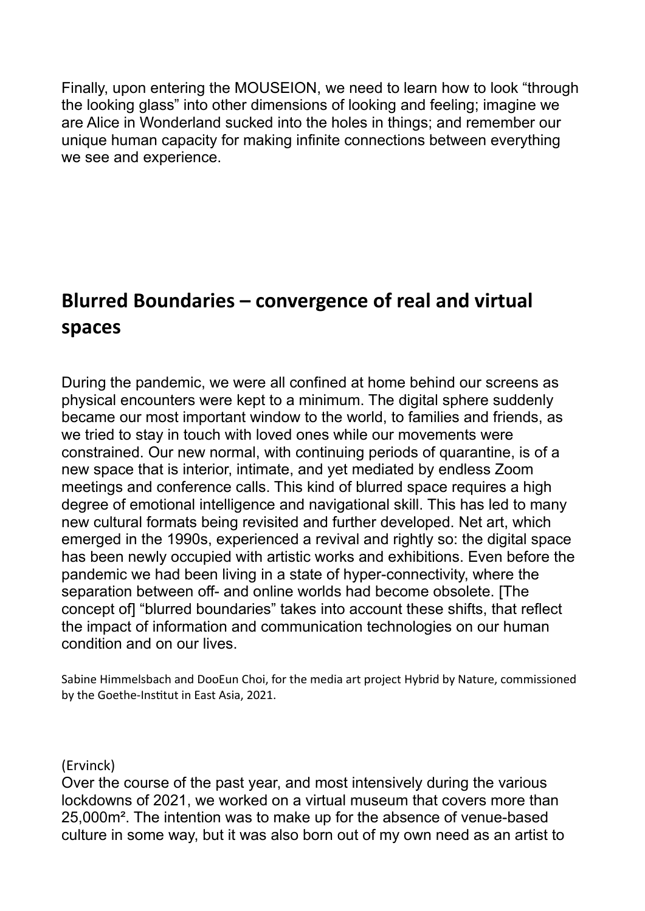Finally, upon entering the MOUSEION, we need to learn how to look "through the looking glass" into other dimensions of looking and feeling; imagine we are Alice in Wonderland sucked into the holes in things; and remember our unique human capacity for making infinite connections between everything we see and experience.

## **Blurred Boundaries – convergence of real and virtual spaces**

During the pandemic, we were all confined at home behind our screens as physical encounters were kept to a minimum. The digital sphere suddenly became our most important window to the world, to families and friends, as we tried to stay in touch with loved ones while our movements were constrained. Our new normal, with continuing periods of quarantine, is of a new space that is interior, intimate, and yet mediated by endless Zoom meetings and conference calls. This kind of blurred space requires a high degree of emotional intelligence and navigational skill. This has led to many new cultural formats being revisited and further developed. Net art, which emerged in the 1990s, experienced a revival and rightly so: the digital space has been newly occupied with artistic works and exhibitions. Even before the pandemic we had been living in a state of hyper-connectivity, where the separation between off- and online worlds had become obsolete. [The concept of] "blurred boundaries" takes into account these shifts, that reflect the impact of information and communication technologies on our human condition and on our lives.

Sabine Himmelsbach and DooEun Choi, for the media art project Hybrid by Nature, commissioned by the Goethe-Institut in East Asia, 2021.

(Ervinck)

Over the course of the past year, and most intensively during the various lockdowns of 2021, we worked on a virtual museum that covers more than 25,000m². The intention was to make up for the absence of venue-based culture in some way, but it was also born out of my own need as an artist to